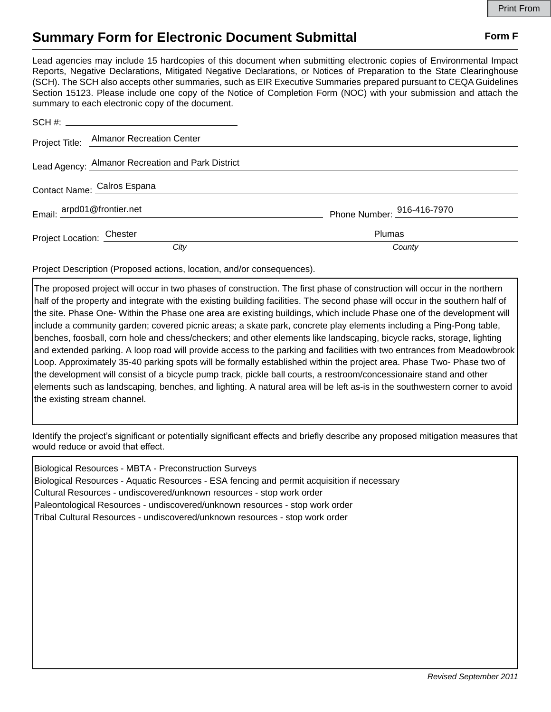## **Summary Form for Electronic Document Submittal Form F Form F**

Lead agencies may include 15 hardcopies of this document when submitting electronic copies of Environmental Impact Reports, Negative Declarations, Mitigated Negative Declarations, or Notices of Preparation to the State Clearinghouse (SCH). The SCH also accepts other summaries, such as EIR Executive Summaries prepared pursuant to CEQA Guidelines Section 15123. Please include one copy of the Notice of Completion Form (NOC) with your submission and attach the summary to each electronic copy of the document.

|                             | Project Title: Almanor Recreation Center          |                            |
|-----------------------------|---------------------------------------------------|----------------------------|
|                             | Lead Agency: Almanor Recreation and Park District |                            |
| Contact Name: Calros Espana |                                                   |                            |
| Email: arpd01@frontier.net  |                                                   | Phone Number: 916-416-7970 |
| Project Location: Chester   |                                                   | <b>Plumas</b>              |
|                             | City                                              | County                     |

Project Description (Proposed actions, location, and/or consequences).

The proposed project will occur in two phases of construction. The first phase of construction will occur in the northern half of the property and integrate with the existing building facilities. The second phase will occur in the southern half of the site. Phase One- Within the Phase one area are existing buildings, which include Phase one of the development will include a community garden; covered picnic areas; a skate park, concrete play elements including a Ping-Pong table, benches, foosball, corn hole and chess/checkers; and other elements like landscaping, bicycle racks, storage, lighting and extended parking. A loop road will provide access to the parking and facilities with two entrances from Meadowbrook Loop. Approximately 35-40 parking spots will be formally established within the project area. Phase Two- Phase two of the development will consist of a bicycle pump track, pickle ball courts, a restroom/concessionaire stand and other elements such as landscaping, benches, and lighting. A natural area will be left as-is in the southwestern corner to avoid the existing stream channel.

Identify the project's significant or potentially significant effects and briefly describe any proposed mitigation measures that would reduce or avoid that effect.

Biological Resources - MBTA - Preconstruction Surveys Biological Resources - Aquatic Resources - ESA fencing and permit acquisition if necessary Cultural Resources - undiscovered/unknown resources - stop work order Paleontological Resources - undiscovered/unknown resources - stop work order Tribal Cultural Resources - undiscovered/unknown resources - stop work order